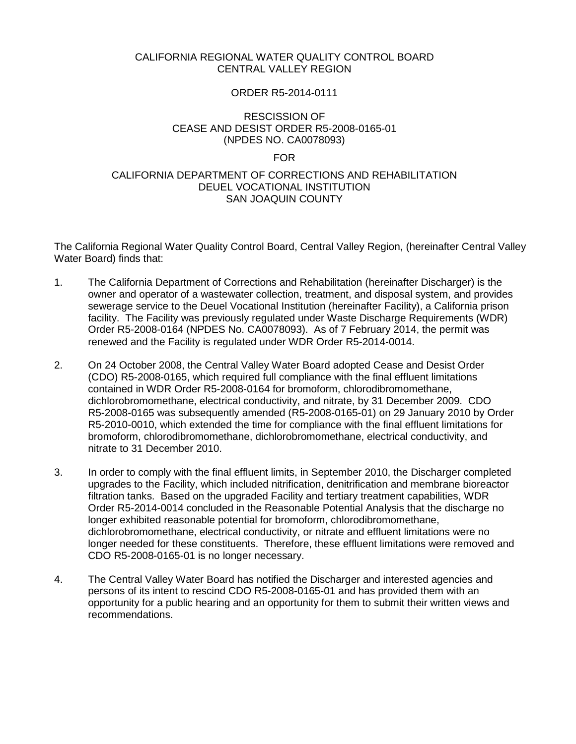# CALIFORNIA REGIONAL WATER QUALITY CONTROL BOARD CENTRAL VALLEY REGION

### ORDER R5-2014-0111

# RESCISSION OF CEASE AND DESIST ORDER R5-2008-0165-01 (NPDES NO. CA0078093)

#### FOR

## CALIFORNIA DEPARTMENT OF CORRECTIONS AND REHABILITATION DEUEL VOCATIONAL INSTITUTION SAN JOAQUIN COUNTY

The California Regional Water Quality Control Board, Central Valley Region, (hereinafter Central Valley Water Board) finds that:

- 1. The California Department of Corrections and Rehabilitation (hereinafter Discharger) is the owner and operator of a wastewater collection, treatment, and disposal system, and provides sewerage service to the Deuel Vocational Institution (hereinafter Facility), a California prison facility. The Facility was previously regulated under Waste Discharge Requirements (WDR) Order R5-2008-0164 (NPDES No. CA0078093). As of 7 February 2014, the permit was renewed and the Facility is regulated under WDR Order R5-2014-0014.
- 2. On 24 October 2008, the Central Valley Water Board adopted Cease and Desist Order (CDO) R5-2008-0165, which required full compliance with the final effluent limitations contained in WDR Order R5-2008-0164 for bromoform, chlorodibromomethane, dichlorobromomethane, electrical conductivity, and nitrate, by 31 December 2009. CDO R5-2008-0165 was subsequently amended (R5-2008-0165-01) on 29 January 2010 by Order R5-2010-0010, which extended the time for compliance with the final effluent limitations for bromoform, chlorodibromomethane, dichlorobromomethane, electrical conductivity, and nitrate to 31 December 2010.
- 3. In order to comply with the final effluent limits, in September 2010, the Discharger completed upgrades to the Facility, which included nitrification, denitrification and membrane bioreactor filtration tanks. Based on the upgraded Facility and tertiary treatment capabilities, WDR Order R5-2014-0014 concluded in the Reasonable Potential Analysis that the discharge no longer exhibited reasonable potential for bromoform, chlorodibromomethane, dichlorobromomethane, electrical conductivity, or nitrate and effluent limitations were no longer needed for these constituents. Therefore, these effluent limitations were removed and CDO R5-2008-0165-01 is no longer necessary.
- 4. The Central Valley Water Board has notified the Discharger and interested agencies and persons of its intent to rescind CDO R5-2008-0165-01 and has provided them with an opportunity for a public hearing and an opportunity for them to submit their written views and recommendations.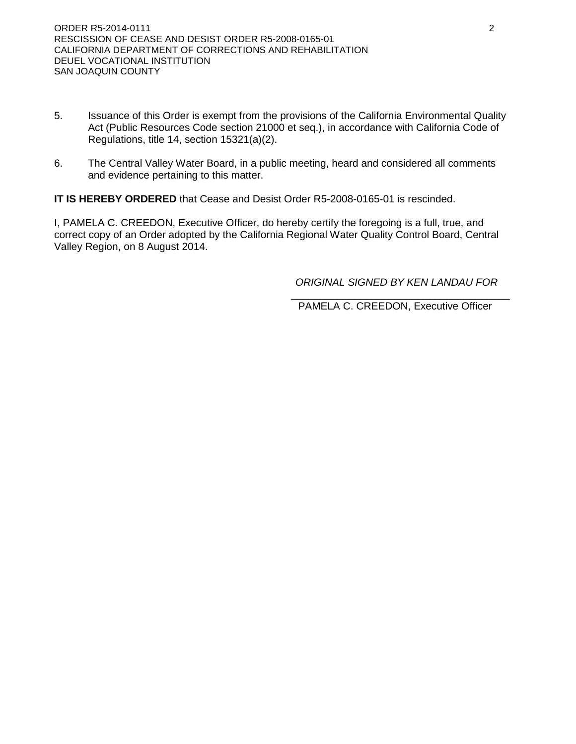- 5. Issuance of this Order is exempt from the provisions of the California Environmental Quality Act (Public Resources Code section 21000 et seq.), in accordance with California Code of Regulations, title 14, section 15321(a)(2).
- 6. The Central Valley Water Board, in a public meeting, heard and considered all comments and evidence pertaining to this matter.

**IT IS HEREBY ORDERED** that Cease and Desist Order R5-2008-0165-01 is rescinded.

I, PAMELA C. CREEDON, Executive Officer, do hereby certify the foregoing is a full, true, and correct copy of an Order adopted by the California Regional Water Quality Control Board, Central Valley Region, on 8 August 2014.

 *ORIGINAL SIGNED BY KEN LANDAU FOR*

 $\frac{1}{\sqrt{2\pi}}$  , which is a set of the set of the set of the set of the set of the set of the set of the set of the set of the set of the set of the set of the set of the set of the set of the set of the set of the set of PAMELA C. CREEDON, Executive Officer